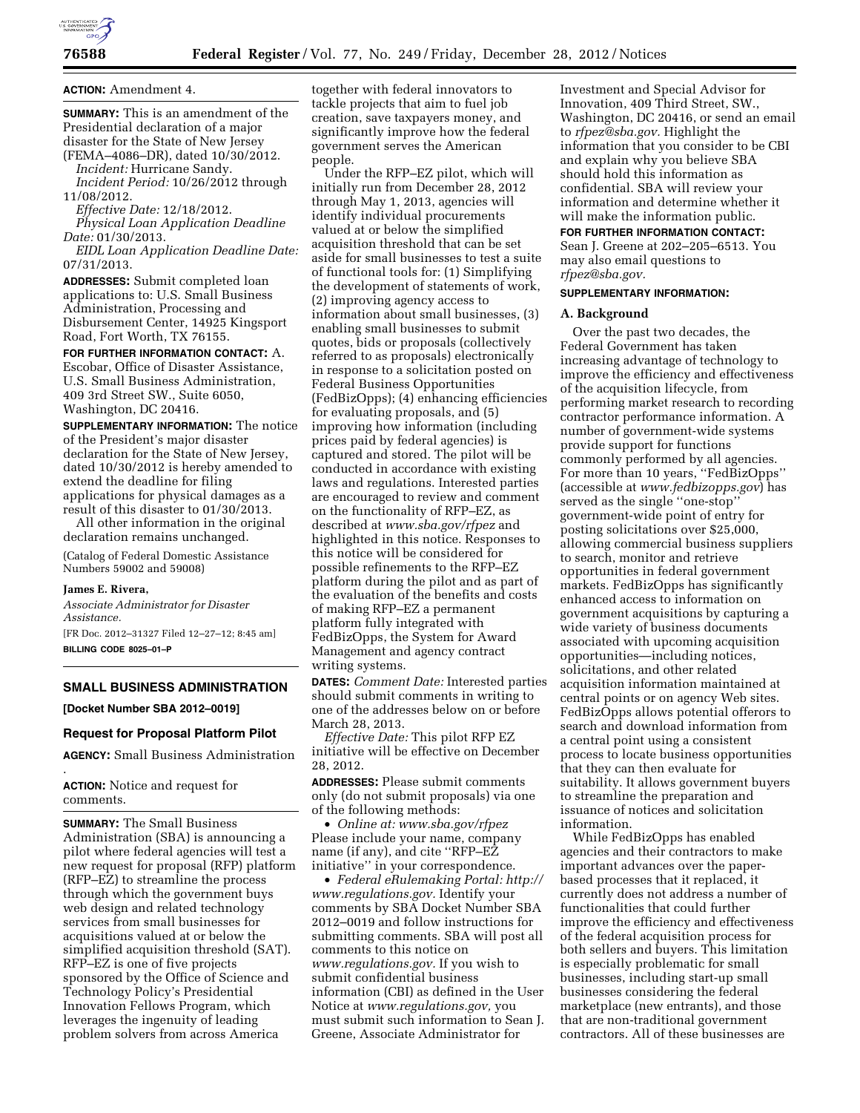

**ACTION:** Amendment 4.

**SUMMARY:** This is an amendment of the Presidential declaration of a major disaster for the State of New Jersey

(FEMA–4086–DR), dated 10/30/2012. *Incident:* Hurricane Sandy. *Incident Period:* 10/26/2012 through 11/08/2012.

# *Effective Date:* 12/18/2012.

*Physical Loan Application Deadline Date:* 01/30/2013.

*EIDL Loan Application Deadline Date:*  07/31/2013.

**ADDRESSES:** Submit completed loan applications to: U.S. Small Business Administration, Processing and Disbursement Center, 14925 Kingsport Road, Fort Worth, TX 76155.

**FOR FURTHER INFORMATION CONTACT:** A. Escobar, Office of Disaster Assistance, U.S. Small Business Administration, 409 3rd Street SW., Suite 6050, Washington, DC 20416.

**SUPPLEMENTARY INFORMATION:** The notice of the President's major disaster declaration for the State of New Jersey, dated 10/30/2012 is hereby amended to extend the deadline for filing applications for physical damages as a result of this disaster to 01/30/2013.

All other information in the original declaration remains unchanged.

(Catalog of Federal Domestic Assistance Numbers 59002 and 59008)

#### **James E. Rivera,**

*Associate Administrator for Disaster Assistance.* 

[FR Doc. 2012–31327 Filed 12–27–12; 8:45 am] **BILLING CODE 8025–01–P** 

# **SMALL BUSINESS ADMINISTRATION**

**[Docket Number SBA 2012–0019]** 

#### **Request for Proposal Platform Pilot**

**AGENCY:** Small Business Administration

. **ACTION:** Notice and request for comments.

**SUMMARY:** The Small Business Administration (SBA) is announcing a pilot where federal agencies will test a new request for proposal (RFP) platform (RFP–EZ) to streamline the process through which the government buys web design and related technology services from small businesses for acquisitions valued at or below the simplified acquisition threshold (SAT). RFP–EZ is one of five projects sponsored by the Office of Science and Technology Policy's Presidential Innovation Fellows Program, which leverages the ingenuity of leading problem solvers from across America

together with federal innovators to tackle projects that aim to fuel job creation, save taxpayers money, and significantly improve how the federal government serves the American people.

Under the RFP–EZ pilot, which will initially run from December 28, 2012 through May 1, 2013, agencies will identify individual procurements valued at or below the simplified acquisition threshold that can be set aside for small businesses to test a suite of functional tools for: (1) Simplifying the development of statements of work, (2) improving agency access to information about small businesses, (3) enabling small businesses to submit quotes, bids or proposals (collectively referred to as proposals) electronically in response to a solicitation posted on Federal Business Opportunities (FedBizOpps); (4) enhancing efficiencies for evaluating proposals, and (5) improving how information (including prices paid by federal agencies) is captured and stored. The pilot will be conducted in accordance with existing laws and regulations. Interested parties are encouraged to review and comment on the functionality of RFP–EZ, as described at *www.sba.gov/rfpez* and highlighted in this notice. Responses to this notice will be considered for possible refinements to the RFP–EZ platform during the pilot and as part of the evaluation of the benefits and costs of making RFP–EZ a permanent platform fully integrated with FedBizOpps, the System for Award Management and agency contract writing systems.

**DATES:** *Comment Date:* Interested parties should submit comments in writing to one of the addresses below on or before March 28, 2013.

*Effective Date:* This pilot RFP EZ initiative will be effective on December 28, 2012.

**ADDRESSES:** Please submit comments only (do not submit proposals) via one of the following methods:

• *Online at: www.sba.gov/rfpez*  Please include your name, company name (if any), and cite ''RFP–EZ initiative'' in your correspondence.

• *Federal eRulemaking Portal: http:// www.regulations.gov.* Identify your comments by SBA Docket Number SBA 2012–0019 and follow instructions for submitting comments. SBA will post all comments to this notice on *www.regulations.gov.* If you wish to submit confidential business information (CBI) as defined in the User Notice at *www.regulations.gov,* you must submit such information to Sean J. Greene, Associate Administrator for

Investment and Special Advisor for Innovation, 409 Third Street, SW., Washington, DC 20416, or send an email to *rfpez@sba.gov.* Highlight the information that you consider to be CBI and explain why you believe SBA should hold this information as confidential. SBA will review your information and determine whether it will make the information public.

### **FOR FURTHER INFORMATION CONTACT:**

Sean J. Greene at 202–205–6513. You may also email questions to *rfpez@sba.gov.* 

# **SUPPLEMENTARY INFORMATION:**

# **A. Background**

Over the past two decades, the Federal Government has taken increasing advantage of technology to improve the efficiency and effectiveness of the acquisition lifecycle, from performing market research to recording contractor performance information. A number of government-wide systems provide support for functions commonly performed by all agencies. For more than 10 years, "FedBizOpps" (accessible at *www.fedbizopps.gov*) has served as the single ''one-stop'' government-wide point of entry for posting solicitations over \$25,000, allowing commercial business suppliers to search, monitor and retrieve opportunities in federal government markets. FedBizOpps has significantly enhanced access to information on government acquisitions by capturing a wide variety of business documents associated with upcoming acquisition opportunities—including notices, solicitations, and other related acquisition information maintained at central points or on agency Web sites. FedBizOpps allows potential offerors to search and download information from a central point using a consistent process to locate business opportunities that they can then evaluate for suitability. It allows government buyers to streamline the preparation and issuance of notices and solicitation information.

While FedBizOpps has enabled agencies and their contractors to make important advances over the paperbased processes that it replaced, it currently does not address a number of functionalities that could further improve the efficiency and effectiveness of the federal acquisition process for both sellers and buyers. This limitation is especially problematic for small businesses, including start-up small businesses considering the federal marketplace (new entrants), and those that are non-traditional government contractors. All of these businesses are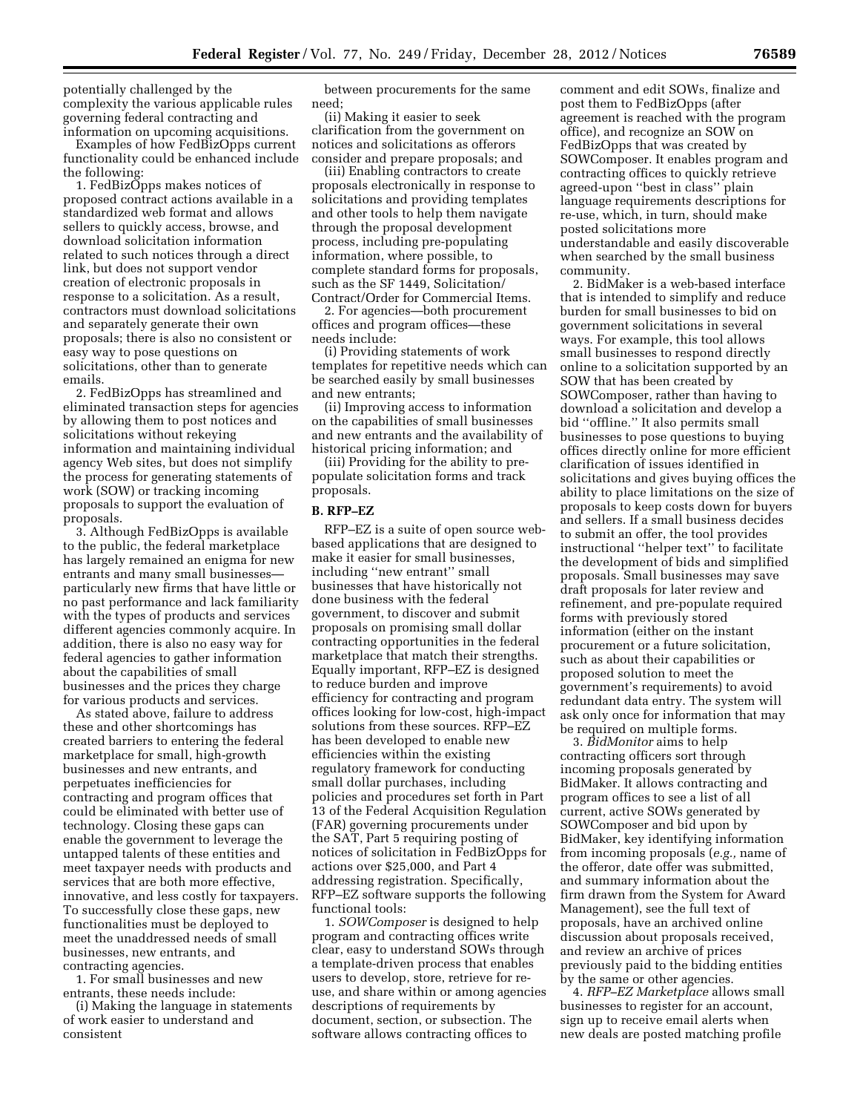potentially challenged by the complexity the various applicable rules governing federal contracting and information on upcoming acquisitions.

Examples of how FedBizOpps current functionality could be enhanced include the following:

1. FedBizOpps makes notices of proposed contract actions available in a standardized web format and allows sellers to quickly access, browse, and download solicitation information related to such notices through a direct link, but does not support vendor creation of electronic proposals in response to a solicitation. As a result, contractors must download solicitations and separately generate their own proposals; there is also no consistent or easy way to pose questions on solicitations, other than to generate emails.

2. FedBizOpps has streamlined and eliminated transaction steps for agencies by allowing them to post notices and solicitations without rekeying information and maintaining individual agency Web sites, but does not simplify the process for generating statements of work (SOW) or tracking incoming proposals to support the evaluation of proposals.

3. Although FedBizOpps is available to the public, the federal marketplace has largely remained an enigma for new entrants and many small businesses particularly new firms that have little or no past performance and lack familiarity with the types of products and services different agencies commonly acquire. In addition, there is also no easy way for federal agencies to gather information about the capabilities of small businesses and the prices they charge for various products and services.

As stated above, failure to address these and other shortcomings has created barriers to entering the federal marketplace for small, high-growth businesses and new entrants, and perpetuates inefficiencies for contracting and program offices that could be eliminated with better use of technology. Closing these gaps can enable the government to leverage the untapped talents of these entities and meet taxpayer needs with products and services that are both more effective, innovative, and less costly for taxpayers. To successfully close these gaps, new functionalities must be deployed to meet the unaddressed needs of small businesses, new entrants, and contracting agencies.

1. For small businesses and new entrants, these needs include:

(i) Making the language in statements of work easier to understand and consistent

between procurements for the same need;

(ii) Making it easier to seek clarification from the government on notices and solicitations as offerors consider and prepare proposals; and

(iii) Enabling contractors to create proposals electronically in response to solicitations and providing templates and other tools to help them navigate through the proposal development process, including pre-populating information, where possible, to complete standard forms for proposals, such as the SF 1449, Solicitation/ Contract/Order for Commercial Items.

2. For agencies—both procurement offices and program offices—these needs include:

(i) Providing statements of work templates for repetitive needs which can be searched easily by small businesses and new entrants;

(ii) Improving access to information on the capabilities of small businesses and new entrants and the availability of historical pricing information; and

(iii) Providing for the ability to prepopulate solicitation forms and track proposals.

# **B. RFP–EZ**

RFP–EZ is a suite of open source webbased applications that are designed to make it easier for small businesses, including ''new entrant'' small businesses that have historically not done business with the federal government, to discover and submit proposals on promising small dollar contracting opportunities in the federal marketplace that match their strengths. Equally important, RFP–EZ is designed to reduce burden and improve efficiency for contracting and program offices looking for low-cost, high-impact solutions from these sources. RFP–EZ has been developed to enable new efficiencies within the existing regulatory framework for conducting small dollar purchases, including policies and procedures set forth in Part 13 of the Federal Acquisition Regulation (FAR) governing procurements under the SAT, Part 5 requiring posting of notices of solicitation in FedBizOpps for actions over \$25,000, and Part 4 addressing registration. Specifically, RFP–EZ software supports the following functional tools:

1. *SOWComposer* is designed to help program and contracting offices write clear, easy to understand SOWs through a template-driven process that enables users to develop, store, retrieve for reuse, and share within or among agencies descriptions of requirements by document, section, or subsection. The software allows contracting offices to

comment and edit SOWs, finalize and post them to FedBizOpps (after agreement is reached with the program office), and recognize an SOW on FedBizOpps that was created by SOWComposer. It enables program and contracting offices to quickly retrieve agreed-upon ''best in class'' plain language requirements descriptions for re-use, which, in turn, should make posted solicitations more understandable and easily discoverable when searched by the small business community.

2. BidMaker is a web-based interface that is intended to simplify and reduce burden for small businesses to bid on government solicitations in several ways. For example, this tool allows small businesses to respond directly online to a solicitation supported by an SOW that has been created by SOWComposer, rather than having to download a solicitation and develop a bid ''offline.'' It also permits small businesses to pose questions to buying offices directly online for more efficient clarification of issues identified in solicitations and gives buying offices the ability to place limitations on the size of proposals to keep costs down for buyers and sellers. If a small business decides to submit an offer, the tool provides instructional ''helper text'' to facilitate the development of bids and simplified proposals. Small businesses may save draft proposals for later review and refinement, and pre-populate required forms with previously stored information (either on the instant procurement or a future solicitation, such as about their capabilities or proposed solution to meet the government's requirements) to avoid redundant data entry. The system will ask only once for information that may be required on multiple forms.

3. *BidMonitor* aims to help contracting officers sort through incoming proposals generated by BidMaker. It allows contracting and program offices to see a list of all current, active SOWs generated by SOWComposer and bid upon by BidMaker, key identifying information from incoming proposals (*e.g.,* name of the offeror, date offer was submitted, and summary information about the firm drawn from the System for Award Management), see the full text of proposals, have an archived online discussion about proposals received, and review an archive of prices previously paid to the bidding entities by the same or other agencies.

4. *RFP–EZ Marketplace* allows small businesses to register for an account, sign up to receive email alerts when new deals are posted matching profile